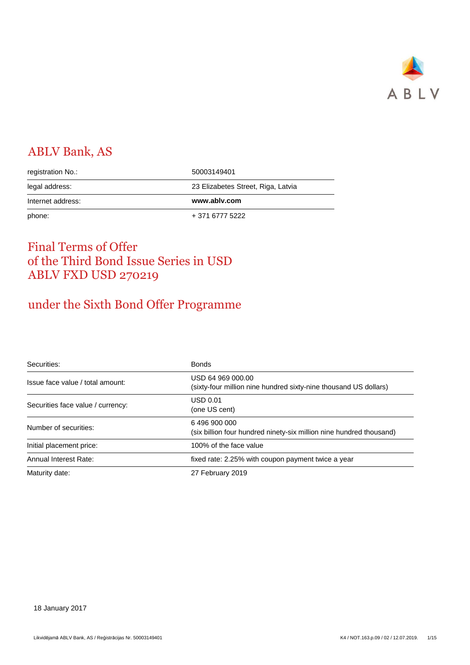

# ABLV Bank, AS

| phone:            | + 371 6777 5222                    |
|-------------------|------------------------------------|
| Internet address: | www.ablv.com                       |
| legal address:    | 23 Elizabetes Street, Riga, Latvia |
| registration No.: | 50003149401                        |

# Final Terms of Offer of the Third Bond Issue Series in USD ABLV FXD USD 270219

# under the Sixth Bond Offer Programme

| Securities:                       | <b>Bonds</b>                                                                          |
|-----------------------------------|---------------------------------------------------------------------------------------|
| Issue face value / total amount:  | USD 64 969 000.00<br>(sixty-four million nine hundred sixty-nine thousand US dollars) |
| Securities face value / currency: | UBD 0.01<br>(one US cent)                                                             |
| Number of securities:             | 6496900000<br>(six billion four hundred ninety-six million nine hundred thousand)     |
| Initial placement price:          | 100% of the face value                                                                |
| Annual Interest Rate:             | fixed rate: 2.25% with coupon payment twice a year                                    |
| Maturity date:                    | 27 February 2019                                                                      |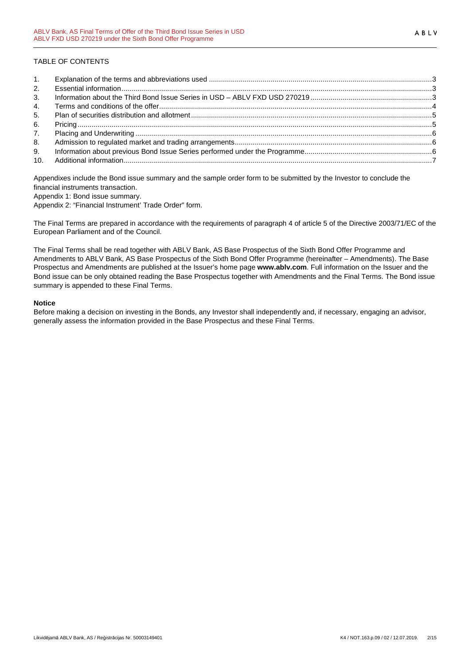# TABLE OF CONTENTS

| 1.             |  |
|----------------|--|
| 2.             |  |
| 3 <sub>1</sub> |  |
| 4.             |  |
| 5.             |  |
| 6.             |  |
| 7.             |  |
| 8.             |  |
| 9.             |  |
|                |  |

Appendixes include the Bond issue summary and the sample order form to be submitted by the Investor to conclude the financial instruments transaction.

Appendix 1: Bond issue summary.

Appendix 2: "Financial Instrument' Trade Order" form.

The Final Terms are prepared in accordance with the requirements of paragraph 4 of article 5 of the Directive 2003/71/EC of the European Parliament and of the Council.

The Final Terms shall be read together with ABLV Bank, AS Base Prospectus of the Sixth Bond Offer Programme and Amendments to ABLV Bank, AS Base Prospectus of the Sixth Bond Offer Programme (hereinafter – Amendments). The Base Prospectus and Amendments are published at the Issuer's home page **www.ablv.com**. Full information on the Issuer and the Bond issue can be only obtained reading the Base Prospectus together with Amendments and the Final Terms. The Bond issue summary is appended to these Final Terms.

## **Notice**

Before making a decision on investing in the Bonds, any Investor shall independently and, if necessary, engaging an advisor, generally assess the information provided in the Base Prospectus and these Final Terms.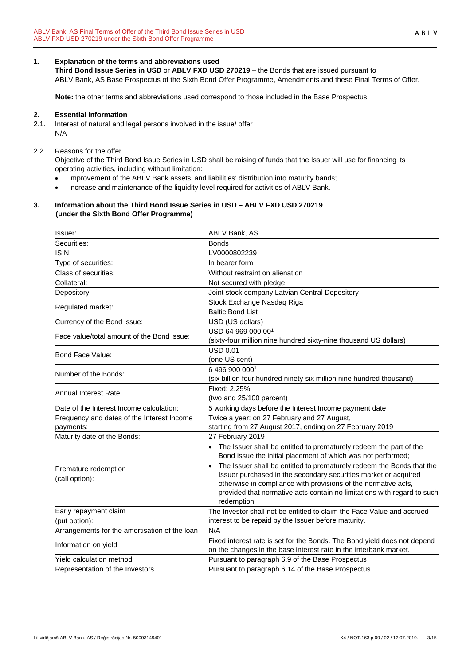# **1. Explanation of the terms and abbreviations used**

**Third Bond Issue Series in USD** or **ABLV FXD USD 270219** – the Bonds that are issued pursuant to ABLV Bank, AS Base Prospectus of the Sixth Bond Offer Programme, Amendments and these Final Terms of Offer.

**Note:** the other terms and abbreviations used correspond to those included in the Base Prospectus.

## **2. Essential information**

2.1. Interest of natural and legal persons involved in the issue/ offer N/A

## 2.2. Reasons for the offer

Objective of the Third Bond Issue Series in USD shall be raising of funds that the Issuer will use for financing its operating activities, including without limitation:

- improvement of the ABLV Bank assets' and liabilities' distribution into maturity bands;
- increase and maintenance of the liquidity level required for activities of ABLV Bank.

## **3. Information about the Third Bond Issue Series in USD – ABLV FXD USD 270219 (under the Sixth Bond Offer Programme)**

| Issuer:                                                 | ABLV Bank, AS                                                                                                                                                                                                                                                                                                                                                                                                                                |
|---------------------------------------------------------|----------------------------------------------------------------------------------------------------------------------------------------------------------------------------------------------------------------------------------------------------------------------------------------------------------------------------------------------------------------------------------------------------------------------------------------------|
| Securities:                                             | <b>Bonds</b>                                                                                                                                                                                                                                                                                                                                                                                                                                 |
| ISIN:                                                   | LV0000802239                                                                                                                                                                                                                                                                                                                                                                                                                                 |
| Type of securities:                                     | In bearer form                                                                                                                                                                                                                                                                                                                                                                                                                               |
| Class of securities:                                    | Without restraint on alienation                                                                                                                                                                                                                                                                                                                                                                                                              |
| Collateral:                                             | Not secured with pledge                                                                                                                                                                                                                                                                                                                                                                                                                      |
| Depository:                                             | Joint stock company Latvian Central Depository                                                                                                                                                                                                                                                                                                                                                                                               |
| Regulated market:                                       | Stock Exchange Nasdaq Riga<br><b>Baltic Bond List</b>                                                                                                                                                                                                                                                                                                                                                                                        |
| Currency of the Bond issue:                             | USD (US dollars)                                                                                                                                                                                                                                                                                                                                                                                                                             |
| Face value/total amount of the Bond issue:              | USD 64 969 000.001<br>(sixty-four million nine hundred sixty-nine thousand US dollars)                                                                                                                                                                                                                                                                                                                                                       |
| Bond Face Value:                                        | <b>USD 0.01</b><br>(one US cent)                                                                                                                                                                                                                                                                                                                                                                                                             |
| Number of the Bonds:                                    | 6 496 900 0001<br>(six billion four hundred ninety-six million nine hundred thousand)                                                                                                                                                                                                                                                                                                                                                        |
| Annual Interest Rate:                                   | Fixed: 2.25%<br>(two and 25/100 percent)                                                                                                                                                                                                                                                                                                                                                                                                     |
| Date of the Interest Income calculation:                | 5 working days before the Interest Income payment date                                                                                                                                                                                                                                                                                                                                                                                       |
| Frequency and dates of the Interest Income<br>payments: | Twice a year: on 27 February and 27 August,<br>starting from 27 August 2017, ending on 27 February 2019                                                                                                                                                                                                                                                                                                                                      |
| Maturity date of the Bonds:                             | 27 February 2019                                                                                                                                                                                                                                                                                                                                                                                                                             |
| Premature redemption<br>(call option):                  | • The Issuer shall be entitled to prematurely redeem the part of the<br>Bond issue the initial placement of which was not performed;<br>The Issuer shall be entitled to prematurely redeem the Bonds that the<br>Issuer purchased in the secondary securities market or acquired<br>otherwise in compliance with provisions of the normative acts,<br>provided that normative acts contain no limitations with regard to such<br>redemption. |
| Early repayment claim                                   | The Investor shall not be entitled to claim the Face Value and accrued                                                                                                                                                                                                                                                                                                                                                                       |
| (put option):                                           | interest to be repaid by the Issuer before maturity.                                                                                                                                                                                                                                                                                                                                                                                         |
| Arrangements for the amortisation of the loan           | N/A                                                                                                                                                                                                                                                                                                                                                                                                                                          |
| Information on yield                                    | Fixed interest rate is set for the Bonds. The Bond yield does not depend<br>on the changes in the base interest rate in the interbank market.                                                                                                                                                                                                                                                                                                |
| Yield calculation method                                | Pursuant to paragraph 6.9 of the Base Prospectus                                                                                                                                                                                                                                                                                                                                                                                             |
| Representation of the Investors                         | Pursuant to paragraph 6.14 of the Base Prospectus                                                                                                                                                                                                                                                                                                                                                                                            |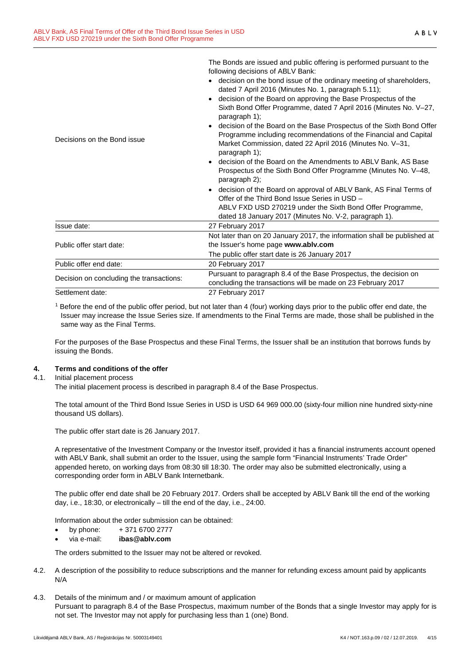|                                          | The bonds are issued and public onemig is performed pursuant to the<br>following decisions of ABLV Bank:                                                                                                               |
|------------------------------------------|------------------------------------------------------------------------------------------------------------------------------------------------------------------------------------------------------------------------|
|                                          | decision on the bond issue of the ordinary meeting of shareholders,<br>dated 7 April 2016 (Minutes No. 1, paragraph 5.11);                                                                                             |
|                                          | decision of the Board on approving the Base Prospectus of the<br>Sixth Bond Offer Programme, dated 7 April 2016 (Minutes No. V-27,<br>paragraph 1);                                                                    |
| Decisions on the Bond issue              | decision of the Board on the Base Prospectus of the Sixth Bond Offer<br>Programme including recommendations of the Financial and Capital<br>Market Commission, dated 22 April 2016 (Minutes No. V-31,<br>paragraph 1); |
|                                          | decision of the Board on the Amendments to ABLV Bank, AS Base<br>Prospectus of the Sixth Bond Offer Programme (Minutes No. V-48,<br>paragraph 2);                                                                      |
|                                          | decision of the Board on approval of ABLV Bank, AS Final Terms of<br>Offer of the Third Bond Issue Series in USD -                                                                                                     |
|                                          | ABLV FXD USD 270219 under the Sixth Bond Offer Programme,<br>dated 18 January 2017 (Minutes No. V-2, paragraph 1).                                                                                                     |
| Issue date:                              | 27 February 2017                                                                                                                                                                                                       |
| Public offer start date:                 | Not later than on 20 January 2017, the information shall be published at<br>the Issuer's home page www.ablv.com                                                                                                        |
|                                          | The public offer start date is 26 January 2017                                                                                                                                                                         |
| Public offer end date:                   | 20 February 2017                                                                                                                                                                                                       |
| Decision on concluding the transactions: | Pursuant to paragraph 8.4 of the Base Prospectus, the decision on<br>concluding the transactions will be made on 23 February 2017                                                                                      |
| Settlement date:                         | 27 February 2017                                                                                                                                                                                                       |
|                                          |                                                                                                                                                                                                                        |

The Bonds are issued and public offering is performed pursuant to the

<sup>1</sup> Before the end of the public offer period, but not later than 4 (four) working days prior to the public offer end date, the Issuer may increase the Issue Series size. If amendments to the Final Terms are made, those shall be published in the same way as the Final Terms.

For the purposes of the Base Prospectus and these Final Terms, the Issuer shall be an institution that borrows funds by issuing the Bonds.

## **4. Terms and conditions of the offer**

## 4.1. Initial placement process

The initial placement process is described in paragraph 8.4 of the Base Prospectus.

The total amount of the Third Bond Issue Series in USD is USD 64 969 000.00 (sixty-four million nine hundred sixty-nine thousand US dollars).

The public offer start date is 26 January 2017.

A representative of the Investment Company or the Investor itself, provided it has a financial instruments account opened with ABLV Bank, shall submit an order to the Issuer, using the sample form "Financial Instruments' Trade Order" appended hereto, on working days from 08:30 till 18:30. The order may also be submitted electronically, using a corresponding order form in ABLV Bank Internetbank.

The public offer end date shall be 20 February 2017. Orders shall be accepted by ABLV Bank till the end of the working day, i.e., 18:30, or electronically – till the end of the day, i.e., 24:00.

Information about the order submission can be obtained:

- by phone:  $+371\,6700\,2777$
- via e-mail: **ibas@ablv.com**

The orders submitted to the Issuer may not be altered or revoked.

- 4.2. A description of the possibility to reduce subscriptions and the manner for refunding excess amount paid by applicants N/A
- 4.3. Details of the minimum and / or maximum amount of application Pursuant to paragraph 8.4 of the Base Prospectus, maximum number of the Bonds that a single Investor may apply for is not set. The Investor may not apply for purchasing less than 1 (one) Bond.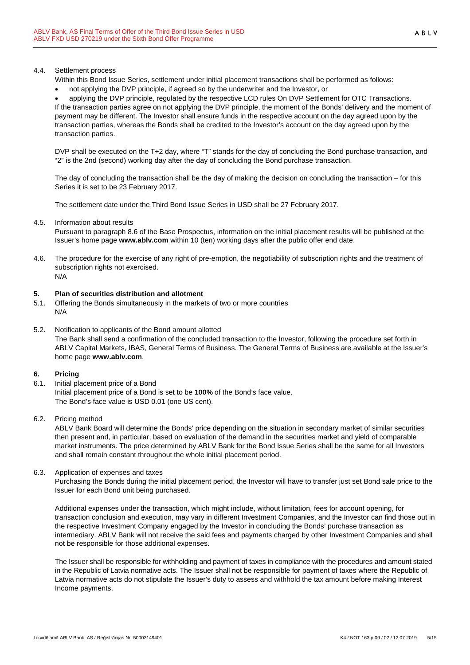## 4.4. Settlement process

- Within this Bond Issue Series, settlement under initial placement transactions shall be performed as follows:
- not applying the DVP principle, if agreed so by the underwriter and the Investor, or

• applying the DVP principle, regulated by the respective LCD rules On DVP Settlement for OTC Transactions. If the transaction parties agree on not applying the DVP principle, the moment of the Bonds' delivery and the moment of payment may be different. The Investor shall ensure funds in the respective account on the day agreed upon by the transaction parties, whereas the Bonds shall be credited to the Investor's account on the day agreed upon by the transaction parties.

DVP shall be executed on the T+2 day, where "T" stands for the day of concluding the Bond purchase transaction, and "2" is the 2nd (second) working day after the day of concluding the Bond purchase transaction.

The day of concluding the transaction shall be the day of making the decision on concluding the transaction – for this Series it is set to be 23 February 2017.

The settlement date under the Third Bond Issue Series in USD shall be 27 February 2017.

4.5. Information about results

Pursuant to paragraph 8.6 of the Base Prospectus, information on the initial placement results will be published at the Issuer's home page **www.ablv.com** within 10 (ten) working days after the public offer end date.

4.6. The procedure for the exercise of any right of pre-emption, the negotiability of subscription rights and the treatment of subscription rights not exercised. N/A

#### **5. Plan of securities distribution and allotment**

- 5.1. Offering the Bonds simultaneously in the markets of two or more countries N/A
- 5.2. Notification to applicants of the Bond amount allotted The Bank shall send a confirmation of the concluded transaction to the Investor, following the procedure set forth in

ABLV Capital Markets, IBAS, General Terms of Business. The General Terms of Business are available at the Issuer's home page **www.ablv.com**.

## **6. Pricing**

6.1. Initial placement price of a Bond Initial placement price of a Bond is set to be **100%** of the Bond's face value. The Bond's face value is USD 0.01 (one US cent).

## 6.2. Pricing method

ABLV Bank Board will determine the Bonds' price depending on the situation in secondary market of similar securities then present and, in particular, based on evaluation of the demand in the securities market and yield of comparable market instruments. The price determined by ABLV Bank for the Bond Issue Series shall be the same for all Investors and shall remain constant throughout the whole initial placement period.

6.3. Application of expenses and taxes

Purchasing the Bonds during the initial placement period, the Investor will have to transfer just set Bond sale price to the Issuer for each Bond unit being purchased.

Additional expenses under the transaction, which might include, without limitation, fees for account opening, for transaction conclusion and execution, may vary in different Investment Companies, and the Investor can find those out in the respective Investment Company engaged by the Investor in concluding the Bonds' purchase transaction as intermediary. ABLV Bank will not receive the said fees and payments charged by other Investment Companies and shall not be responsible for those additional expenses.

The Issuer shall be responsible for withholding and payment of taxes in compliance with the procedures and amount stated in the Republic of Latvia normative acts. The Issuer shall not be responsible for payment of taxes where the Republic of Latvia normative acts do not stipulate the Issuer's duty to assess and withhold the tax amount before making Interest Income payments.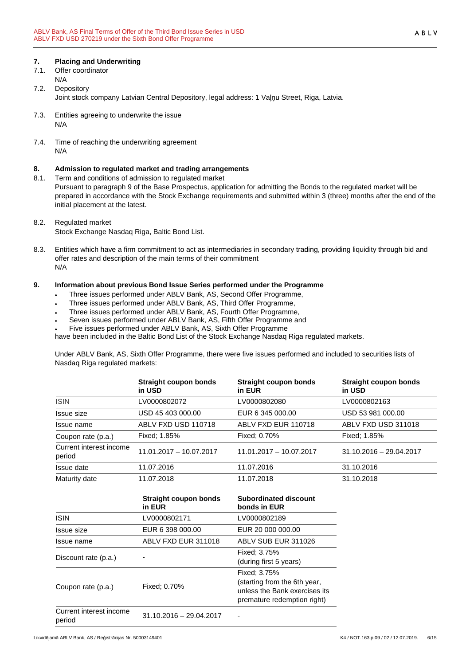# **7. Placing and Underwriting**

7.1. Offer coordinator N/A

# 7.2. Depository Joint stock company Latvian Central Depository, legal address: 1 Vaļņu Street, Riga, Latvia.

- 7.3. Entities agreeing to underwrite the issue N/A
- 7.4. Time of reaching the underwriting agreement N/A

# **8. Admission to regulated market and trading arrangements**

8.1. Term and conditions of admission to regulated market

Pursuant to paragraph 9 of the Base Prospectus, application for admitting the Bonds to the regulated market will be prepared in accordance with the Stock Exchange requirements and submitted within 3 (three) months after the end of the initial placement at the latest.

# 8.2. Regulated market

- Stock Exchange Nasdaq Riga, Baltic Bond List.
- 8.3. Entities which have a firm commitment to act as intermediaries in secondary trading, providing liquidity through bid and offer rates and description of the main terms of their commitment N/A

# **9. Information about previous Bond Issue Series performed under the Programme**

- Three issues performed under ABLV Bank, AS, Second Offer Programme,
- Three issues performed under ABLV Bank, AS, Third Offer Programme,
- Three issues performed under ABLV Bank, AS, Fourth Offer Programme,
- Seven issues performed under ABLV Bank, AS, Fifth Offer Programme and
- Five issues performed under ABLV Bank, AS, Sixth Offer Programme

have been included in the Baltic Bond List of the Stock Exchange Nasdaq Riga regulated markets.

Under ABLV Bank, AS, Sixth Offer Programme, there were five issues performed and included to securities lists of Nasdaq Riga regulated markets:

|                                   | Straight coupon bonds<br>in USD | Straight coupon bonds<br>in EUR | Straight coupon bonds<br>in USD |
|-----------------------------------|---------------------------------|---------------------------------|---------------------------------|
| <b>ISIN</b>                       | LV0000802072                    | LV0000802080                    | LV0000802163                    |
| Issue size                        | USD 45 403 000.00               | EUR 6 345 000.00                | USD 53 981 000.00               |
| Issue name                        | ABLV FXD USD 110718             | ABLV FXD EUR 110718             | ABLV FXD USD 311018             |
| Coupon rate (p.a.)                | Fixed: 1.85%                    | Fixed: 0.70%                    | Fixed: 1.85%                    |
| Current interest income<br>period | 11.01.2017 - 10.07.2017         | $11.01.2017 - 10.07.2017$       | $31.10.2016 - 29.04.2017$       |
| Issue date                        | 11.07.2016                      | 11.07.2016                      | 31.10.2016                      |
| Maturity date                     | 11.07.2018                      | 11.07.2018                      | 31.10.2018                      |

|                                   | <b>Straight coupon bonds</b><br>in EUR | <b>Subordinated discount</b><br>bonds in EUR                                                                 |  |  |
|-----------------------------------|----------------------------------------|--------------------------------------------------------------------------------------------------------------|--|--|
| <b>ISIN</b>                       | LV0000802171                           | LV0000802189                                                                                                 |  |  |
| Issue size                        | EUR 6 398 000.00                       | EUR 20 000 000.00                                                                                            |  |  |
| Issue name                        | ABLV FXD EUR 311018                    | ABLV SUB EUR 311026                                                                                          |  |  |
| Discount rate (p.a.)              |                                        | Fixed: 3.75%<br>(during first 5 years)                                                                       |  |  |
| Coupon rate (p.a.)                | Fixed: 0.70%                           | Fixed: 3.75%<br>(starting from the 6th year,<br>unless the Bank exercises its<br>premature redemption right) |  |  |
| Current interest income<br>period | $31.10.2016 - 29.04.2017$              |                                                                                                              |  |  |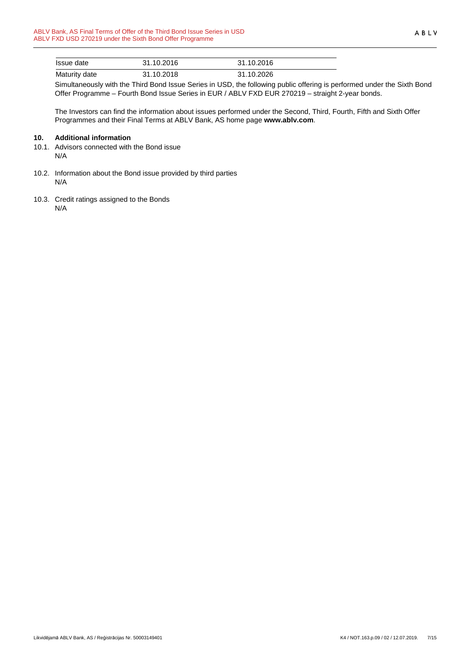| Issue date    | 31.10.2016 | 31.10.2016 |  |
|---------------|------------|------------|--|
| Maturity date | 31.10.2018 | 31.10.2026 |  |

Simultaneously with the Third Bond Issue Series in USD, the following public offering is performed under the Sixth Bond Offer Programme – Fourth Bond Issue Series in EUR / ABLV FXD EUR 270219 – straight 2-year bonds.

The Investors can find the information about issues performed under the Second, Third, Fourth, Fifth and Sixth Offer Programmes and their Final Terms at ABLV Bank, AS home page **www.ablv.com**.

## **10. Additional information**

- 10.1. Advisors connected with the Bond issue N/A
- 10.2. Information about the Bond issue provided by third parties N/A
- 10.3. Credit ratings assigned to the Bonds N/A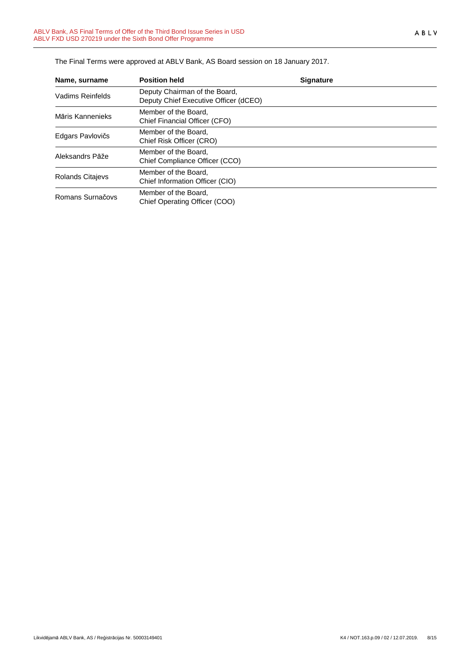| Name, surname           | <b>Position held</b>                                                   | <b>Signature</b> |
|-------------------------|------------------------------------------------------------------------|------------------|
| Vadims Reinfelds        | Deputy Chairman of the Board,<br>Deputy Chief Executive Officer (dCEO) |                  |
| Māris Kannenieks        | Member of the Board.<br>Chief Financial Officer (CFO)                  |                  |
| Edgars Pavlovičs        | Member of the Board.<br>Chief Risk Officer (CRO)                       |                  |
| Aleksandrs Pāže         | Member of the Board,<br>Chief Compliance Officer (CCO)                 |                  |
| <b>Rolands Citajevs</b> | Member of the Board,<br>Chief Information Officer (CIO)                |                  |
| Romans Surnačovs        | Member of the Board.<br>Chief Operating Officer (COO)                  |                  |

The Final Terms were approved at ABLV Bank, AS Board session on 18 January 2017.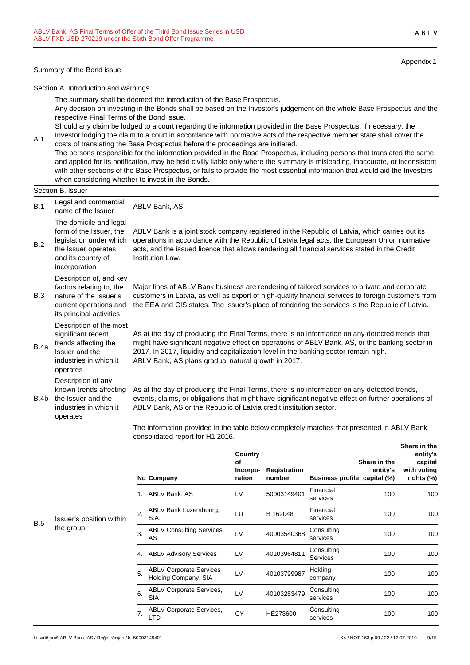#### Summary of the Bond issue

A.1

Appendix 1

Section A. Introduction and warnings

The summary shall be deemed the introduction of the Base Prospectus. Any decision on investing in the Bonds shall be based on the Investor's judgement on the whole Base Prospectus and the respective Final Terms of the Bond issue.

Should any claim be lodged to a court regarding the information provided in the Base Prospectus, if necessary, the Investor lodging the claim to a court in accordance with normative acts of the respective member state shall cover the

costs of translating the Base Prospectus before the proceedings are initiated. The persons responsible for the information provided in the Base Prospectus, including persons that translated the same and applied for its notification, may be held civilly liable only where the summary is misleading, inaccurate, or inconsistent with other sections of the Base Prospectus, or fails to provide the most essential information that would aid the Investors when considering whether to invest in the Bonds.

|      | Section B. Issuer                                                                                                                          |                                                                                                                                                                                                                                                                                                                                                   |
|------|--------------------------------------------------------------------------------------------------------------------------------------------|---------------------------------------------------------------------------------------------------------------------------------------------------------------------------------------------------------------------------------------------------------------------------------------------------------------------------------------------------|
| B.1  | Legal and commercial<br>name of the Issuer                                                                                                 | ABLV Bank, AS.                                                                                                                                                                                                                                                                                                                                    |
| B.2  | The domicile and legal<br>form of the Issuer, the<br>legislation under which<br>the Issuer operates<br>and its country of<br>incorporation | ABLV Bank is a joint stock company registered in the Republic of Latvia, which carries out its<br>operations in accordance with the Republic of Latvia legal acts, the European Union normative<br>acts, and the issued licence that allows rendering all financial services stated in the Credit<br>Institution Law.                             |
| B.3  | Description of, and key<br>factors relating to, the<br>nature of the Issuer's<br>current operations and<br>its principal activities        | Major lines of ABLV Bank business are rendering of tailored services to private and corporate<br>customers in Latvia, as well as export of high-quality financial services to foreign customers from<br>the EEA and CIS states. The Issuer's place of rendering the services is the Republic of Latvia.                                           |
| B.4a | Description of the most<br>significant recent<br>trends affecting the<br>Issuer and the<br>industries in which it<br>operates              | As at the day of producing the Final Terms, there is no information on any detected trends that<br>might have significant negative effect on operations of ABLV Bank, AS, or the banking sector in<br>2017. In 2017, liquidity and capitalization level in the banking sector remain high.<br>ABLV Bank, AS plans gradual natural growth in 2017. |
| B.4b | Description of any<br>known trends affecting<br>the Issuer and the<br>industries in which it<br>operates                                   | As at the day of producing the Final Terms, there is no information on any detected trends,<br>events, claims, or obligations that might have significant negative effect on further operations of<br>ABLV Bank, AS or the Republic of Latvia credit institution sector.                                                                          |

The information provided in the table below completely matches that presented in ABLV Bank consolidated report for H1 2016. **Share in the**

|            |                                       |    | No Company                                             | Country<br>of<br>Incorpo-<br>ration | <b>Registration</b><br>number | <b>Business profile</b> | Share in the<br>entity's<br>capital (%) | entity's<br>capital<br>with voting<br>rights (%) |
|------------|---------------------------------------|----|--------------------------------------------------------|-------------------------------------|-------------------------------|-------------------------|-----------------------------------------|--------------------------------------------------|
|            |                                       | 1. | ABLV Bank, AS                                          | LV                                  | 50003149401                   | Financial<br>services   | 100                                     | 100                                              |
| <b>B.5</b> | Issuer's position within<br>the group | 2. | ABLV Bank Luxembourg,<br>S.A.                          | LU                                  | B 162048                      | Financial<br>services   | 100                                     | 100                                              |
|            |                                       | 3. | <b>ABLV Consulting Services,</b><br>AS                 | LV                                  | 40003540368                   | Consulting<br>services  | 100                                     | 100                                              |
|            |                                       | 4. | <b>ABLV Advisory Services</b>                          | LV                                  | 40103964811                   | Consulting<br>Services  | 100                                     | 100                                              |
|            |                                       | 5. | <b>ABLV Corporate Services</b><br>Holding Company, SIA | LV                                  | 40103799987                   | Holding<br>company      | 100                                     | 100                                              |
|            |                                       | 6. | <b>ABLV Corporate Services,</b><br><b>SIA</b>          | LV                                  | 40103283479                   | Consulting<br>services  | 100                                     | 100                                              |
|            |                                       | 7. | <b>ABLV Corporate Services,</b><br><b>LTD</b>          | CY                                  | HE273600                      | Consulting<br>services  | 100                                     | 100                                              |
|            |                                       |    |                                                        |                                     |                               |                         |                                         |                                                  |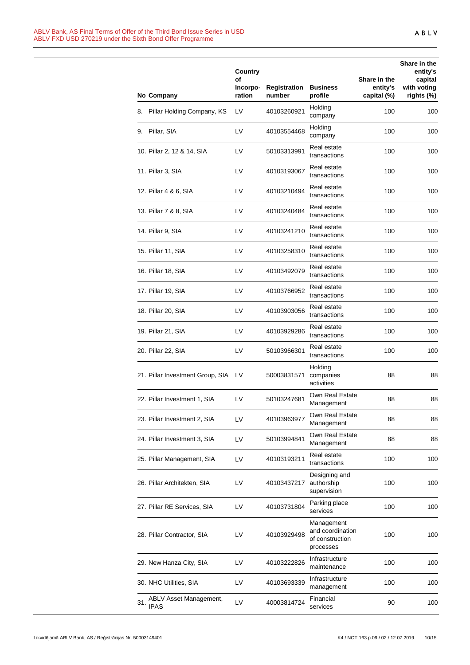|     | No Company                            | Country<br>οf<br>Incorpo-<br>ration | Registration<br>number | <b>Business</b><br>profile                                     | Share in the<br>entity's<br>capital (%) | Share in the<br>entity's<br>capital<br>with voting<br>rights (%) |
|-----|---------------------------------------|-------------------------------------|------------------------|----------------------------------------------------------------|-----------------------------------------|------------------------------------------------------------------|
|     | 8. Pillar Holding Company, KS         | LV                                  | 40103260921            | Holding<br>company                                             | 100                                     | 100                                                              |
|     | 9. Pillar, SIA                        | LV                                  | 40103554468            | Holding<br>company                                             | 100                                     | 100                                                              |
|     | 10. Pillar 2, 12 & 14, SIA            | LV                                  | 50103313991            | Real estate<br>transactions                                    | 100                                     | 100                                                              |
|     | 11. Pillar 3, SIA                     | LV                                  | 40103193067            | Real estate<br>transactions                                    | 100                                     | 100                                                              |
|     | 12. Pillar 4 & 6, SIA                 | LV                                  | 40103210494            | Real estate<br>transactions                                    | 100                                     | 100                                                              |
|     | 13. Pillar 7 & 8, SIA                 | LV                                  | 40103240484            | Real estate<br>transactions                                    | 100                                     | 100                                                              |
|     | 14. Pillar 9, SIA                     | LV                                  | 40103241210            | Real estate<br>transactions                                    | 100                                     | 100                                                              |
|     | 15. Pillar 11, SIA                    | LV                                  | 40103258310            | Real estate<br>transactions                                    | 100                                     | 100                                                              |
|     | 16. Pillar 18, SIA                    | LV                                  | 40103492079            | Real estate<br>transactions                                    | 100                                     | 100                                                              |
|     | 17. Pillar 19, SIA                    | LV                                  | 40103766952            | Real estate<br>transactions                                    | 100                                     | 100                                                              |
|     | 18. Pillar 20, SIA                    | LV                                  | 40103903056            | Real estate<br>transactions                                    | 100                                     | 100                                                              |
|     | 19. Pillar 21, SIA                    | LV                                  | 40103929286            | Real estate<br>transactions                                    | 100                                     | 100                                                              |
|     | 20. Pillar 22, SIA                    | LV                                  | 50103966301            | Real estate<br>transactions                                    | 100                                     | 100                                                              |
|     | 21. Pillar Investment Group, SIA      | LV                                  | 50003831571            | Holding<br>companies<br>activities                             | 88                                      | 88                                                               |
|     | 22. Pillar Investment 1, SIA          | LV                                  | 50103247681            | Own Real Estate<br>Management                                  | 88                                      | 88                                                               |
|     | 23. Pillar Investment 2, SIA          | LV                                  | 40103963977            | Own Real Estate<br>Management                                  | 88                                      | 88                                                               |
|     | 24. Pillar Investment 3, SIA          | LV                                  | 50103994841            | Own Real Estate<br>Management                                  | 88                                      | 88                                                               |
|     | 25. Pillar Management, SIA            | LV                                  | 40103193211            | Real estate<br>transactions                                    | 100                                     | 100                                                              |
|     | 26. Pillar Architekten, SIA           | LV                                  | 40103437217            | Designing and<br>authorship<br>supervision                     | 100                                     | 100                                                              |
|     | 27. Pillar RE Services, SIA           | LV                                  | 40103731804            | Parking place<br>services                                      | 100                                     | 100                                                              |
|     | 28. Pillar Contractor, SIA            | LV                                  | 40103929498            | Management<br>and coordination<br>of construction<br>processes | 100                                     | 100                                                              |
|     | 29. New Hanza City, SIA               | LV                                  | 40103222826            | Infrastructure<br>maintenance                                  | 100                                     | 100                                                              |
|     | 30. NHC Utilities, SIA                | LV                                  | 40103693339            | Infrastructure<br>management                                   | 100                                     | 100                                                              |
| 31. | ABLV Asset Management,<br><b>IPAS</b> | LV                                  | 40003814724            | Financial<br>services                                          | 90                                      | 100                                                              |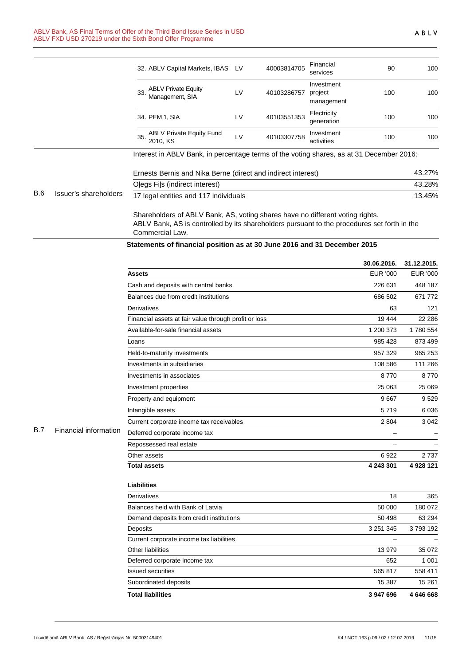|            |                       | 32. ABLV Capital Markets, IBAS LV                                                                                                                                            |                                                | 40003814705 | Financial<br>services               | 90  | 100    |
|------------|-----------------------|------------------------------------------------------------------------------------------------------------------------------------------------------------------------------|------------------------------------------------|-------------|-------------------------------------|-----|--------|
|            |                       | <b>ABLV Private Equity</b><br>33.<br>Management, SIA                                                                                                                         | LV                                             | 40103286757 | Investment<br>project<br>management | 100 | 100    |
|            |                       | 34. PEM 1, SIA                                                                                                                                                               | Electricity<br>LV<br>40103551353<br>generation |             | 100                                 | 100 |        |
|            |                       | <b>ABLV Private Equity Fund</b><br>35<br>2010, KS                                                                                                                            | LV                                             | 40103307758 | Investment<br>activities            | 100 | 100    |
|            |                       | Interest in ABLV Bank, in percentage terms of the voting shares, as at 31 December 2016:                                                                                     |                                                |             |                                     |     |        |
| <b>B.6</b> | Issuer's shareholders | Ernests Bernis and Nika Berne (direct and indirect interest)                                                                                                                 |                                                |             | 43.27%                              |     |        |
|            |                       | Olegs Fils (indirect interest)                                                                                                                                               |                                                |             | 43.28%                              |     |        |
|            |                       | 17 legal entities and 117 individuals                                                                                                                                        |                                                |             |                                     |     | 13.45% |
|            |                       | Shareholders of ABLV Bank, AS, voting shares have no different voting rights.<br>ABLV Bank, AS is controlled by its shareholders pursuant to the procedures set forth in the |                                                |             |                                     |     |        |

Commercial Law.

**Statements of financial position as at 30 June 2016 and 31 December 2015**

|            |                       |                                                       | 30.06.2016.     | 31.12.2015.     |
|------------|-----------------------|-------------------------------------------------------|-----------------|-----------------|
|            |                       | <b>Assets</b>                                         | <b>EUR '000</b> | <b>EUR '000</b> |
|            |                       | Cash and deposits with central banks                  | 226 631         | 448 187         |
|            |                       | Balances due from credit institutions                 | 686 502         | 671 772         |
|            |                       | Derivatives                                           | 63              | 121             |
|            |                       | Financial assets at fair value through profit or loss | 19 444          | 22 28 6         |
|            |                       | Available-for-sale financial assets                   | 1 200 373       | 1780 554        |
|            |                       | Loans                                                 | 985 428         | 873 499         |
|            |                       | Held-to-maturity investments                          | 957 329         | 965 253         |
|            |                       | Investments in subsidiaries                           | 108 586         | 111 266         |
|            |                       | Investments in associates                             | 8770            | 8770            |
|            |                       | Investment properties                                 | 25 063          | 25 069          |
|            |                       | Property and equipment                                | 9667            | 9529            |
|            |                       | Intangible assets                                     | 5719            | 6 0 36          |
|            |                       | Current corporate income tax receivables              | 2 8 0 4         | 3 0 4 2         |
| <b>B.7</b> | Financial information | Deferred corporate income tax                         |                 |                 |
|            |                       | Repossessed real estate                               |                 |                 |
|            |                       | Other assets                                          | 6922            | 2737            |
|            |                       | <b>Total assets</b>                                   | 4 243 301       | 4 928 121       |
|            |                       | <b>Liabilities</b>                                    |                 |                 |
|            |                       | <b>Derivatives</b>                                    | 18              | 365             |
|            |                       | Balances held with Bank of Latvia                     | 50 000          | 180 072         |
|            |                       | Demand deposits from credit institutions              | 50 498          | 63 294          |
|            |                       | Deposits                                              | 3 2 5 1 3 4 5   | 3793192         |
|            |                       | Current corporate income tax liabilities              |                 |                 |
|            |                       | Other liabilities                                     | 13 979          | 35 072          |
|            |                       | Deferred corporate income tax                         | 652             | 1 0 0 1         |
|            |                       | <b>Issued securities</b>                              | 565 817         | 558 411         |
|            |                       | Subordinated deposits                                 | 15 387          | 15 261          |
|            |                       | <b>Total liabilities</b>                              | 3 947 696       | 4 646 668       |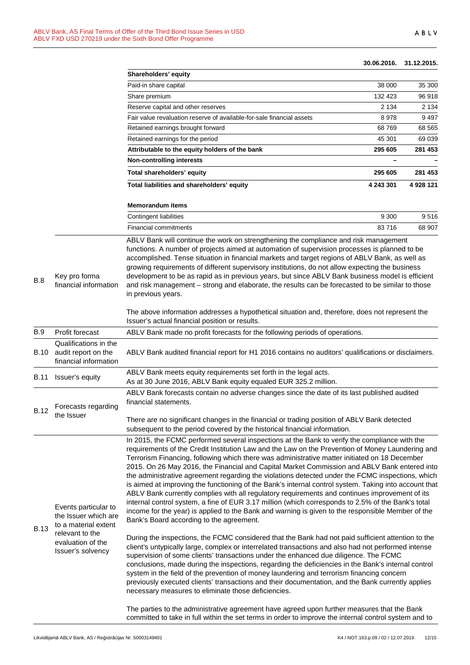#### **30.06.2016. 31.12.2015.**

|             |                                                                                                                                   | Shareholders' equity                                                                                                                                                                                                                                                                                                                                                                                                                                                                                                                                                                                                                                                                                                                                                                                                                                                                                                                                                                                                                                                           |           |           |  |
|-------------|-----------------------------------------------------------------------------------------------------------------------------------|--------------------------------------------------------------------------------------------------------------------------------------------------------------------------------------------------------------------------------------------------------------------------------------------------------------------------------------------------------------------------------------------------------------------------------------------------------------------------------------------------------------------------------------------------------------------------------------------------------------------------------------------------------------------------------------------------------------------------------------------------------------------------------------------------------------------------------------------------------------------------------------------------------------------------------------------------------------------------------------------------------------------------------------------------------------------------------|-----------|-----------|--|
|             |                                                                                                                                   | Paid-in share capital                                                                                                                                                                                                                                                                                                                                                                                                                                                                                                                                                                                                                                                                                                                                                                                                                                                                                                                                                                                                                                                          | 38 000    | 35 300    |  |
|             |                                                                                                                                   | Share premium                                                                                                                                                                                                                                                                                                                                                                                                                                                                                                                                                                                                                                                                                                                                                                                                                                                                                                                                                                                                                                                                  | 132 423   | 96 918    |  |
|             |                                                                                                                                   | Reserve capital and other reserves                                                                                                                                                                                                                                                                                                                                                                                                                                                                                                                                                                                                                                                                                                                                                                                                                                                                                                                                                                                                                                             | 2 1 3 4   | 2 1 3 4   |  |
|             |                                                                                                                                   | Fair value revaluation reserve of available-for-sale financial assets                                                                                                                                                                                                                                                                                                                                                                                                                                                                                                                                                                                                                                                                                                                                                                                                                                                                                                                                                                                                          | 8978      | 9497      |  |
|             |                                                                                                                                   | Retained earnings brought forward                                                                                                                                                                                                                                                                                                                                                                                                                                                                                                                                                                                                                                                                                                                                                                                                                                                                                                                                                                                                                                              | 68769     | 68 5 65   |  |
|             |                                                                                                                                   | Retained earnings for the period                                                                                                                                                                                                                                                                                                                                                                                                                                                                                                                                                                                                                                                                                                                                                                                                                                                                                                                                                                                                                                               | 45 301    | 69 039    |  |
|             |                                                                                                                                   | Attributable to the equity holders of the bank                                                                                                                                                                                                                                                                                                                                                                                                                                                                                                                                                                                                                                                                                                                                                                                                                                                                                                                                                                                                                                 | 295 605   | 281 453   |  |
|             |                                                                                                                                   | <b>Non-controlling interests</b>                                                                                                                                                                                                                                                                                                                                                                                                                                                                                                                                                                                                                                                                                                                                                                                                                                                                                                                                                                                                                                               |           |           |  |
|             |                                                                                                                                   | Total shareholders' equity                                                                                                                                                                                                                                                                                                                                                                                                                                                                                                                                                                                                                                                                                                                                                                                                                                                                                                                                                                                                                                                     | 295 605   | 281 453   |  |
|             |                                                                                                                                   | Total liabilities and shareholders' equity                                                                                                                                                                                                                                                                                                                                                                                                                                                                                                                                                                                                                                                                                                                                                                                                                                                                                                                                                                                                                                     | 4 243 301 | 4 928 121 |  |
|             |                                                                                                                                   | <b>Memorandum items</b>                                                                                                                                                                                                                                                                                                                                                                                                                                                                                                                                                                                                                                                                                                                                                                                                                                                                                                                                                                                                                                                        |           |           |  |
|             |                                                                                                                                   | Contingent liabilities                                                                                                                                                                                                                                                                                                                                                                                                                                                                                                                                                                                                                                                                                                                                                                                                                                                                                                                                                                                                                                                         | 9 3 0 0   | 9516      |  |
|             |                                                                                                                                   | <b>Financial commitments</b>                                                                                                                                                                                                                                                                                                                                                                                                                                                                                                                                                                                                                                                                                                                                                                                                                                                                                                                                                                                                                                                   | 83716     | 68 907    |  |
| B.8         | Key pro forma<br>financial information                                                                                            | functions. A number of projects aimed at automation of supervision processes is planned to be<br>accomplished. Tense situation in financial markets and target regions of ABLV Bank, as well as<br>growing requirements of different supervisory institutions, do not allow expecting the business<br>development to be as rapid as in previous years, but since ABLV Bank business model is efficient<br>and risk management - strong and elaborate, the results can be forecasted to be similar to those<br>in previous years.                                                                                                                                                                                                                                                                                                                                                                                                                                                                                                                                               |           |           |  |
|             |                                                                                                                                   | The above information addresses a hypothetical situation and, therefore, does not represent the<br>Issuer's actual financial position or results.                                                                                                                                                                                                                                                                                                                                                                                                                                                                                                                                                                                                                                                                                                                                                                                                                                                                                                                              |           |           |  |
| <b>B.9</b>  | Profit forecast                                                                                                                   | ABLV Bank made no profit forecasts for the following periods of operations.                                                                                                                                                                                                                                                                                                                                                                                                                                                                                                                                                                                                                                                                                                                                                                                                                                                                                                                                                                                                    |           |           |  |
| B.10        | Qualifications in the<br>audit report on the<br>financial information                                                             | ABLV Bank audited financial report for H1 2016 contains no auditors' qualifications or disclaimers.                                                                                                                                                                                                                                                                                                                                                                                                                                                                                                                                                                                                                                                                                                                                                                                                                                                                                                                                                                            |           |           |  |
| B.11        | Issuer's equity                                                                                                                   | ABLV Bank meets equity requirements set forth in the legal acts.<br>As at 30 June 2016, ABLV Bank equity equaled EUR 325.2 million.                                                                                                                                                                                                                                                                                                                                                                                                                                                                                                                                                                                                                                                                                                                                                                                                                                                                                                                                            |           |           |  |
| <b>B.12</b> | Forecasts regarding<br>the Issuer                                                                                                 | ABLV Bank forecasts contain no adverse changes since the date of its last published audited<br>financial statements.                                                                                                                                                                                                                                                                                                                                                                                                                                                                                                                                                                                                                                                                                                                                                                                                                                                                                                                                                           |           |           |  |
|             |                                                                                                                                   | There are no significant changes in the financial or trading position of ABLV Bank detected<br>subsequent to the period covered by the historical financial information.                                                                                                                                                                                                                                                                                                                                                                                                                                                                                                                                                                                                                                                                                                                                                                                                                                                                                                       |           |           |  |
| <b>B.13</b> | Events particular to<br>the Issuer which are<br>to a material extent<br>relevant to the<br>evaluation of the<br>Issuer's solvency | In 2015, the FCMC performed several inspections at the Bank to verify the compliance with the<br>requirements of the Credit Institution Law and the Law on the Prevention of Money Laundering and<br>Terrorism Financing, following which there was administrative matter initiated on 18 December<br>2015. On 26 May 2016, the Financial and Capital Market Commission and ABLV Bank entered into<br>the administrative agreement regarding the violations detected under the FCMC inspections, which<br>is aimed at improving the functioning of the Bank's internal control system. Taking into account that<br>ABLV Bank currently complies with all regulatory requirements and continues improvement of its<br>internal control system, a fine of EUR 3.17 million (which corresponds to 2.5% of the Bank's total<br>income for the year) is applied to the Bank and warning is given to the responsible Member of the<br>Bank's Board according to the agreement.<br>During the inspections, the FCMC considered that the Bank had not paid sufficient attention to the |           |           |  |
|             |                                                                                                                                   | client's untypically large, complex or interrelated transactions and also had not performed intense<br>supervision of some clients' transactions under the enhanced due diligence. The FCMC<br>conclusions, made during the inspections, regarding the deficiencies in the Bank's internal control<br>system in the field of the prevention of money laundering and terrorism financing concern<br>previously executed clients' transactions and their documentation, and the Bank currently applies<br>necessary measures to eliminate those deficiencies.                                                                                                                                                                                                                                                                                                                                                                                                                                                                                                                    |           |           |  |
|             |                                                                                                                                   | The parties to the administrative agreement have agreed upon further measures that the Bank<br>committed to take in full within the set terms in order to improve the internal control system and to                                                                                                                                                                                                                                                                                                                                                                                                                                                                                                                                                                                                                                                                                                                                                                                                                                                                           |           |           |  |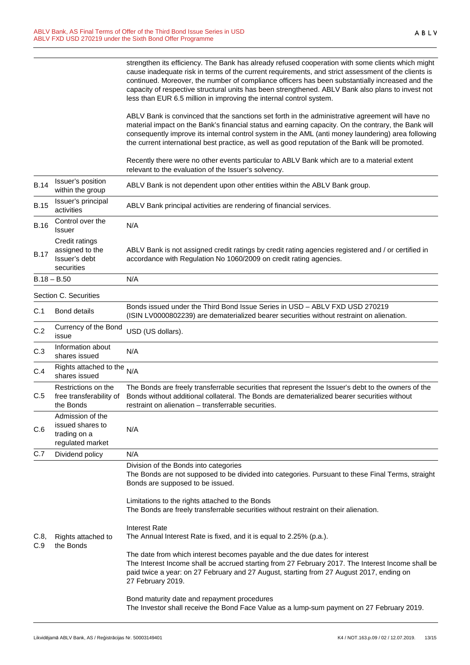| strengthen its efficiency. The Bank has already refused cooperation with some clients which might   |
|-----------------------------------------------------------------------------------------------------|
| cause inadequate risk in terms of the current requirements, and strict assessment of the clients is |
| continued. Moreover, the number of compliance officers has been substantially increased and the     |
| capacity of respective structural units has been strengthened. ABLV Bank also plans to invest not   |
| less than EUR 6.5 million in improving the internal control system.                                 |
|                                                                                                     |

ABLV Bank is convinced that the sanctions set forth in the administrative agreement will have no material impact on the Bank's financial status and earning capacity. On the contrary, the Bank will consequently improve its internal control system in the AML (anti money laundering) area following the current international best practice, as well as good reputation of the Bank will be promoted.

Recently there were no other events particular to ABLV Bank which are to a material extent relevant to the evaluation of the Issuer's solvency.

| <b>B.14</b> | Issuer's position<br>within the group                                    | ABLV Bank is not dependent upon other entities within the ABLV Bank group.                                                                                                                                                                                                                        |  |
|-------------|--------------------------------------------------------------------------|---------------------------------------------------------------------------------------------------------------------------------------------------------------------------------------------------------------------------------------------------------------------------------------------------|--|
| <b>B.15</b> | Issuer's principal<br>activities                                         | ABLV Bank principal activities are rendering of financial services.                                                                                                                                                                                                                               |  |
| <b>B.16</b> | Control over the<br>Issuer                                               | N/A                                                                                                                                                                                                                                                                                               |  |
| <b>B.17</b> | Credit ratings<br>assigned to the<br>Issuer's debt<br>securities         | ABLV Bank is not assigned credit ratings by credit rating agencies registered and / or certified in<br>accordance with Regulation No 1060/2009 on credit rating agencies.                                                                                                                         |  |
|             | $B.18 - B.50$                                                            | N/A                                                                                                                                                                                                                                                                                               |  |
|             | Section C. Securities                                                    |                                                                                                                                                                                                                                                                                                   |  |
| C.1         | <b>Bond details</b>                                                      | Bonds issued under the Third Bond Issue Series in USD - ABLV FXD USD 270219<br>(ISIN LV0000802239) are dematerialized bearer securities without restraint on alienation.                                                                                                                          |  |
| C.2         | Currency of the Bond<br>issue                                            | USD (US dollars).                                                                                                                                                                                                                                                                                 |  |
| C.3         | Information about<br>shares issued                                       | N/A                                                                                                                                                                                                                                                                                               |  |
| C.4         | Rights attached to the<br>shares issued                                  | N/A                                                                                                                                                                                                                                                                                               |  |
| C.5         | Restrictions on the<br>free transferability of<br>the Bonds              | The Bonds are freely transferrable securities that represent the Issuer's debt to the owners of the<br>Bonds without additional collateral. The Bonds are dematerialized bearer securities without<br>restraint on alienation - transferrable securities.                                         |  |
| C.6         | Admission of the<br>issued shares to<br>trading on a<br>regulated market | N/A                                                                                                                                                                                                                                                                                               |  |
| C.7         | Dividend policy                                                          | N/A                                                                                                                                                                                                                                                                                               |  |
| C.8,<br>C.9 | Rights attached to<br>the Bonds                                          | Division of the Bonds into categories<br>The Bonds are not supposed to be divided into categories. Pursuant to these Final Terms, straight<br>Bonds are supposed to be issued.                                                                                                                    |  |
|             |                                                                          | Limitations to the rights attached to the Bonds<br>The Bonds are freely transferrable securities without restraint on their alienation.                                                                                                                                                           |  |
|             |                                                                          | Interest Rate<br>The Annual Interest Rate is fixed, and it is equal to 2.25% (p.a.).                                                                                                                                                                                                              |  |
|             |                                                                          | The date from which interest becomes payable and the due dates for interest<br>The Interest Income shall be accrued starting from 27 February 2017. The Interest Income shall be<br>paid twice a year: on 27 February and 27 August, starting from 27 August 2017, ending on<br>27 February 2019. |  |
|             |                                                                          | Bond maturity date and repayment procedures<br>The Investor shall receive the Bond Face Value as a lump-sum payment on 27 February 2019.                                                                                                                                                          |  |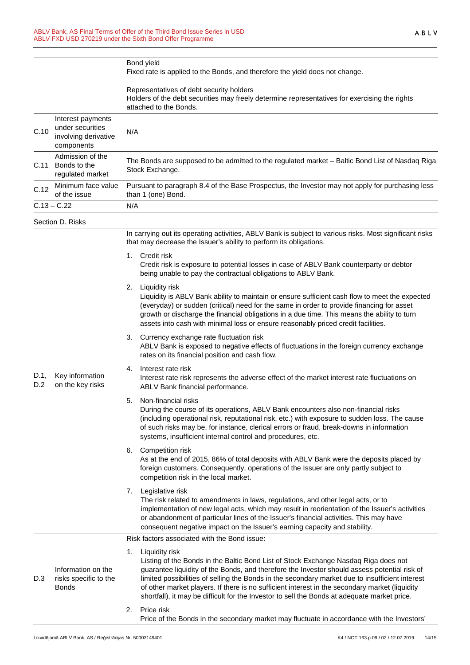|             |                                                                             | Bond yield<br>Fixed rate is applied to the Bonds, and therefore the yield does not change.                                                                                                                                                                                                                                                                                                                                                                                                                       |  |  |
|-------------|-----------------------------------------------------------------------------|------------------------------------------------------------------------------------------------------------------------------------------------------------------------------------------------------------------------------------------------------------------------------------------------------------------------------------------------------------------------------------------------------------------------------------------------------------------------------------------------------------------|--|--|
|             |                                                                             | Representatives of debt security holders<br>Holders of the debt securities may freely determine representatives for exercising the rights<br>attached to the Bonds.                                                                                                                                                                                                                                                                                                                                              |  |  |
| C.10        | Interest payments<br>under securities<br>involving derivative<br>components | N/A                                                                                                                                                                                                                                                                                                                                                                                                                                                                                                              |  |  |
|             | Admission of the<br>C.11 Bonds to the<br>regulated market                   | The Bonds are supposed to be admitted to the regulated market - Baltic Bond List of Nasdaq Riga<br>Stock Exchange.                                                                                                                                                                                                                                                                                                                                                                                               |  |  |
| C.12        | Minimum face value<br>of the issue                                          | Pursuant to paragraph 8.4 of the Base Prospectus, the Investor may not apply for purchasing less<br>than 1 (one) Bond.                                                                                                                                                                                                                                                                                                                                                                                           |  |  |
|             | $C.13 - C.22$                                                               | N/A                                                                                                                                                                                                                                                                                                                                                                                                                                                                                                              |  |  |
|             | Section D. Risks                                                            |                                                                                                                                                                                                                                                                                                                                                                                                                                                                                                                  |  |  |
|             |                                                                             | In carrying out its operating activities, ABLV Bank is subject to various risks. Most significant risks<br>that may decrease the Issuer's ability to perform its obligations.                                                                                                                                                                                                                                                                                                                                    |  |  |
|             |                                                                             | Credit risk<br>1.<br>Credit risk is exposure to potential losses in case of ABLV Bank counterparty or debtor<br>being unable to pay the contractual obligations to ABLV Bank.                                                                                                                                                                                                                                                                                                                                    |  |  |
|             |                                                                             | Liquidity risk<br>2.<br>Liquidity is ABLV Bank ability to maintain or ensure sufficient cash flow to meet the expected<br>(everyday) or sudden (critical) need for the same in order to provide financing for asset<br>growth or discharge the financial obligations in a due time. This means the ability to turn<br>assets into cash with minimal loss or ensure reasonably priced credit facilities.                                                                                                          |  |  |
|             |                                                                             | Currency exchange rate fluctuation risk<br>3.<br>ABLV Bank is exposed to negative effects of fluctuations in the foreign currency exchange<br>rates on its financial position and cash flow.                                                                                                                                                                                                                                                                                                                     |  |  |
| D.1,<br>D.2 | Key information<br>on the key risks                                         | Interest rate risk<br>4.<br>Interest rate risk represents the adverse effect of the market interest rate fluctuations on<br>ABLV Bank financial performance.                                                                                                                                                                                                                                                                                                                                                     |  |  |
|             |                                                                             | Non-financial risks<br>5.<br>During the course of its operations, ABLV Bank encounters also non-financial risks<br>(including operational risk, reputational risk, etc.) with exposure to sudden loss. The cause<br>of such risks may be, for instance, clerical errors or fraud, break-downs in information<br>systems, insufficient internal control and procedures, etc.                                                                                                                                      |  |  |
|             |                                                                             | Competition risk<br>6.<br>As at the end of 2015, 86% of total deposits with ABLV Bank were the deposits placed by<br>foreign customers. Consequently, operations of the Issuer are only partly subject to<br>competition risk in the local market.                                                                                                                                                                                                                                                               |  |  |
|             |                                                                             | Legislative risk<br>7.<br>The risk related to amendments in laws, regulations, and other legal acts, or to<br>implementation of new legal acts, which may result in reorientation of the Issuer's activities<br>or abandonment of particular lines of the Issuer's financial activities. This may have<br>consequent negative impact on the Issuer's earning capacity and stability.                                                                                                                             |  |  |
|             |                                                                             | Risk factors associated with the Bond issue:                                                                                                                                                                                                                                                                                                                                                                                                                                                                     |  |  |
| D.3         | Information on the<br>risks specific to the<br><b>Bonds</b>                 | Liquidity risk<br>1.<br>Listing of the Bonds in the Baltic Bond List of Stock Exchange Nasdaq Riga does not<br>guarantee liquidity of the Bonds, and therefore the Investor should assess potential risk of<br>limited possibilities of selling the Bonds in the secondary market due to insufficient interest<br>of other market players. If there is no sufficient interest in the secondary market (liquidity<br>shortfall), it may be difficult for the Investor to sell the Bonds at adequate market price. |  |  |
|             |                                                                             | Price risk<br>2.<br>Price of the Bonds in the secondary market may fluctuate in accordance with the Investors'                                                                                                                                                                                                                                                                                                                                                                                                   |  |  |